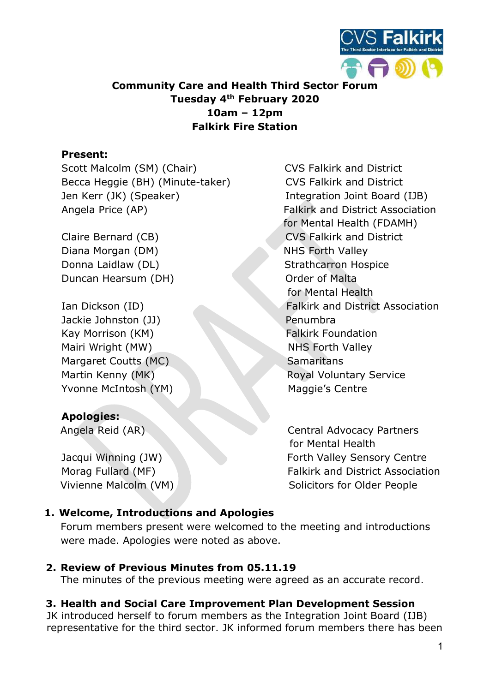

## Community Care and Health Third Sector Forum Tuesday 4th February 2020 10am – 12pm Falkirk Fire Station

### Present:

Scott Malcolm (SM) (Chair) CVS Falkirk and District Becca Heggie (BH) (Minute-taker) CVS Falkirk and District Jen Kerr (JK) (Speaker) Integration Joint Board (IJB) Angela Price (AP) Falkirk and District Association

Diana Morgan (DM) NHS Forth Valley Donna Laidlaw (DL) Strathcarron Hospice Duncan Hearsum (DH) Contact Contact Contact Contact Contact Contact Contact Contact Contact Contact Contact Contact Contact Contact Contact Contact Contact Contact Contact Contact Contact Contact Contact Contact Contact Co

Jackie Johnston (JJ) Penumbra Kay Morrison (KM) Falkirk Foundation Mairi Wright (MW) NHS Forth Valley Margaret Coutts (MC) Samaritans Yvonne McIntosh (YM) Maggie's Centre

# Apologies:

for Mental Health (FDAMH) Claire Bernard (CB) CVS Falkirk and District for Mental Health Ian Dickson (ID) Falkirk and District Association Martin Kenny (MK) Royal Voluntary Service

 Angela Reid (AR) Central Advocacy Partners for Mental Health Jacqui Winning (JW) The Sensory Centre Forth Valley Sensory Centre Morag Fullard (MF) **Falkirk and District Association** Vivienne Malcolm (VM) Note that the Solicitors for Older People

## 1. Welcome, Introductions and Apologies

Forum members present were welcomed to the meeting and introductions were made. Apologies were noted as above.

## 2. Review of Previous Minutes from 05.11.19

The minutes of the previous meeting were agreed as an accurate record.

# 3. Health and Social Care Improvement Plan Development Session

JK introduced herself to forum members as the Integration Joint Board (IJB) representative for the third sector. JK informed forum members there has been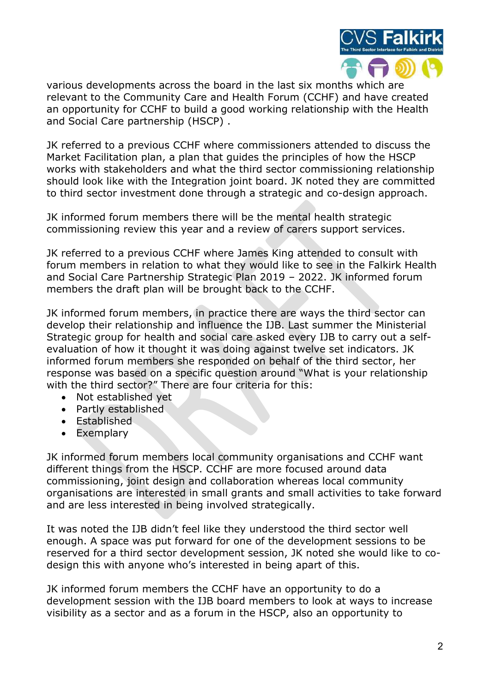

various developments across the board in the last six months which are relevant to the Community Care and Health Forum (CCHF) and have created an opportunity for CCHF to build a good working relationship with the Health and Social Care partnership (HSCP) .

JK referred to a previous CCHF where commissioners attended to discuss the Market Facilitation plan, a plan that guides the principles of how the HSCP works with stakeholders and what the third sector commissioning relationship should look like with the Integration joint board. JK noted they are committed to third sector investment done through a strategic and co-design approach.

JK informed forum members there will be the mental health strategic commissioning review this year and a review of carers support services.

JK referred to a previous CCHF where James King attended to consult with forum members in relation to what they would like to see in the Falkirk Health and Social Care Partnership Strategic Plan 2019 – 2022. JK informed forum members the draft plan will be brought back to the CCHF.

JK informed forum members, in practice there are ways the third sector can develop their relationship and influence the IJB. Last summer the Ministerial Strategic group for health and social care asked every IJB to carry out a selfevaluation of how it thought it was doing against twelve set indicators. JK informed forum members she responded on behalf of the third sector, her response was based on a specific question around "What is your relationship with the third sector?" There are four criteria for this:

- Not established yet
- Partly established
- Established
- Exemplary

JK informed forum members local community organisations and CCHF want different things from the HSCP. CCHF are more focused around data commissioning, joint design and collaboration whereas local community organisations are interested in small grants and small activities to take forward and are less interested in being involved strategically.

It was noted the IJB didn't feel like they understood the third sector well enough. A space was put forward for one of the development sessions to be reserved for a third sector development session, JK noted she would like to codesign this with anyone who's interested in being apart of this.

JK informed forum members the CCHF have an opportunity to do a development session with the IJB board members to look at ways to increase visibility as a sector and as a forum in the HSCP, also an opportunity to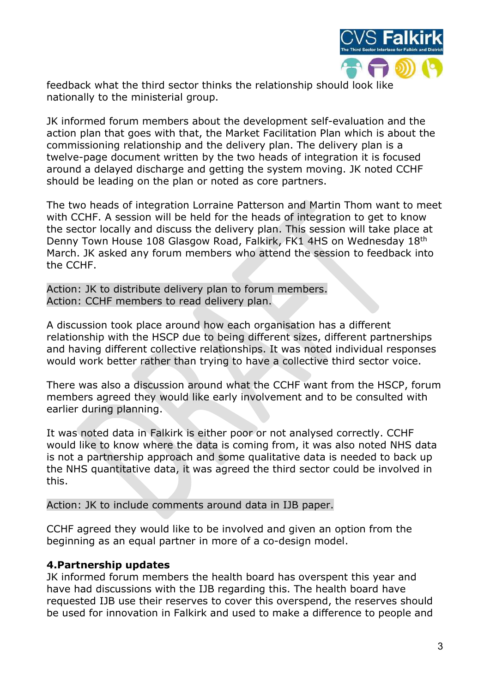

feedback what the third sector thinks the relationship should look like nationally to the ministerial group.

JK informed forum members about the development self-evaluation and the action plan that goes with that, the Market Facilitation Plan which is about the commissioning relationship and the delivery plan. The delivery plan is a twelve-page document written by the two heads of integration it is focused around a delayed discharge and getting the system moving. JK noted CCHF should be leading on the plan or noted as core partners.

The two heads of integration Lorraine Patterson and Martin Thom want to meet with CCHF. A session will be held for the heads of integration to get to know the sector locally and discuss the delivery plan. This session will take place at Denny Town House 108 Glasgow Road, Falkirk, FK1 4HS on Wednesday 18th March. JK asked any forum members who attend the session to feedback into the CCHF.

Action: JK to distribute delivery plan to forum members. Action: CCHF members to read delivery plan.

A discussion took place around how each organisation has a different relationship with the HSCP due to being different sizes, different partnerships and having different collective relationships. It was noted individual responses would work better rather than trying to have a collective third sector voice.

There was also a discussion around what the CCHF want from the HSCP, forum members agreed they would like early involvement and to be consulted with earlier during planning.

It was noted data in Falkirk is either poor or not analysed correctly. CCHF would like to know where the data is coming from, it was also noted NHS data is not a partnership approach and some qualitative data is needed to back up the NHS quantitative data, it was agreed the third sector could be involved in this.

#### Action: JK to include comments around data in IJB paper.

CCHF agreed they would like to be involved and given an option from the beginning as an equal partner in more of a co-design model.

#### 4.Partnership updates

JK informed forum members the health board has overspent this year and have had discussions with the IJB regarding this. The health board have requested IJB use their reserves to cover this overspend, the reserves should be used for innovation in Falkirk and used to make a difference to people and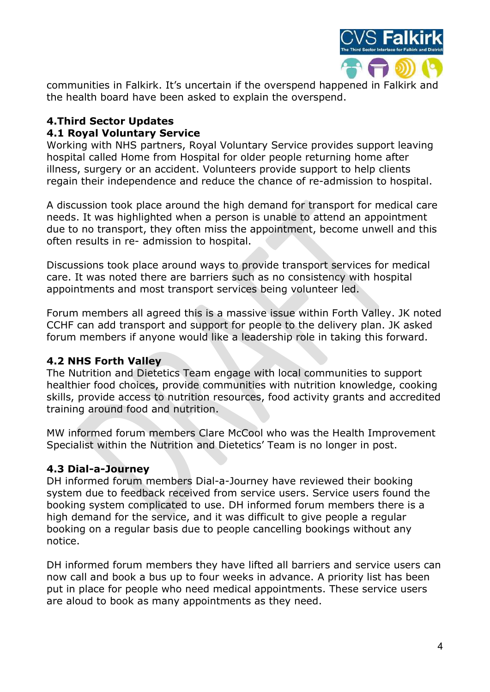

communities in Falkirk. It's uncertain if the overspend happened in Falkirk and the health board have been asked to explain the overspend.

### 4.Third Sector Updates 4.1 Royal Voluntary Service

Working with NHS partners, Royal Voluntary Service provides support leaving hospital called Home from Hospital for older people returning home after illness, surgery or an accident. Volunteers provide support to help clients regain their independence and reduce the chance of re-admission to hospital.

A discussion took place around the high demand for transport for medical care needs. It was highlighted when a person is unable to attend an appointment due to no transport, they often miss the appointment, become unwell and this often results in re- admission to hospital.

Discussions took place around ways to provide transport services for medical care. It was noted there are barriers such as no consistency with hospital appointments and most transport services being volunteer led.

Forum members all agreed this is a massive issue within Forth Valley. JK noted CCHF can add transport and support for people to the delivery plan. JK asked forum members if anyone would like a leadership role in taking this forward.

## 4.2 NHS Forth Valley

The Nutrition and Dietetics Team engage with local communities to support healthier food choices, provide communities with nutrition knowledge, cooking skills, provide access to nutrition resources, food activity grants and accredited training around food and nutrition.

MW informed forum members Clare McCool who was the Health Improvement Specialist within the Nutrition and Dietetics' Team is no longer in post.

#### 4.3 Dial-a-Journey

DH informed forum members Dial-a-Journey have reviewed their booking system due to feedback received from service users. Service users found the booking system complicated to use. DH informed forum members there is a high demand for the service, and it was difficult to give people a regular booking on a regular basis due to people cancelling bookings without any notice.

DH informed forum members they have lifted all barriers and service users can now call and book a bus up to four weeks in advance. A priority list has been put in place for people who need medical appointments. These service users are aloud to book as many appointments as they need.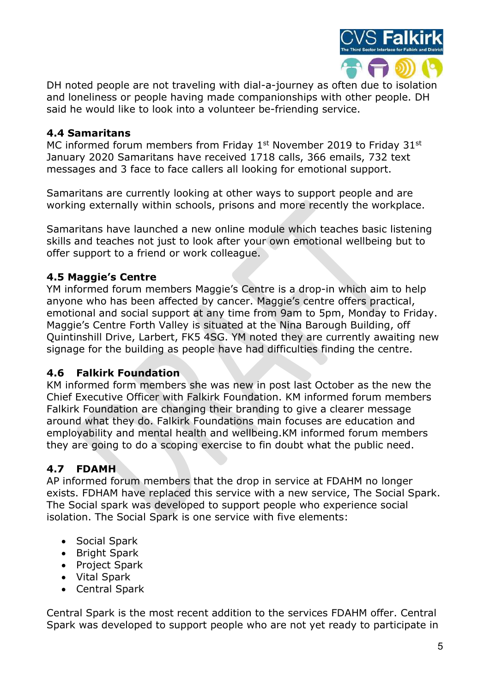

DH noted people are not traveling with dial-a-journey as often due to isolation and loneliness or people having made companionships with other people. DH said he would like to look into a volunteer be-friending service.

## 4.4 Samaritans

MC informed forum members from Friday  $1<sup>st</sup>$  November 2019 to Friday 31 $<sup>st</sup>$ </sup> January 2020 Samaritans have received 1718 calls, 366 emails, 732 text messages and 3 face to face callers all looking for emotional support.

Samaritans are currently looking at other ways to support people and are working externally within schools, prisons and more recently the workplace.

Samaritans have launched a new online module which teaches basic listening skills and teaches not just to look after your own emotional wellbeing but to offer support to a friend or work colleague.

## 4.5 Maggie's Centre

YM informed forum members Maggie's Centre is a drop-in which aim to help anyone who has been affected by cancer. Maggie's centre offers practical, emotional and social support at any time from 9am to 5pm, Monday to Friday. Maggie's Centre Forth Valley is situated at the Nina Barough Building, off Quintinshill Drive, Larbert, FK5 4SG. YM noted they are currently awaiting new signage for the building as people have had difficulties finding the centre.

# 4.6 Falkirk Foundation

KM informed form members she was new in post last October as the new the Chief Executive Officer with Falkirk Foundation. KM informed forum members Falkirk Foundation are changing their branding to give a clearer message around what they do. Falkirk Foundations main focuses are education and employability and mental health and wellbeing.KM informed forum members they are going to do a scoping exercise to fin doubt what the public need.

# 4.7 FDAMH

AP informed forum members that the drop in service at FDAHM no longer exists. FDHAM have replaced this service with a new service, The Social Spark. The Social spark was developed to support people who experience social isolation. The Social Spark is one service with five elements:

- Social Spark
- Bright Spark
- Project Spark
- Vital Spark
- Central Spark

Central Spark is the most recent addition to the services FDAHM offer. Central Spark was developed to support people who are not yet ready to participate in